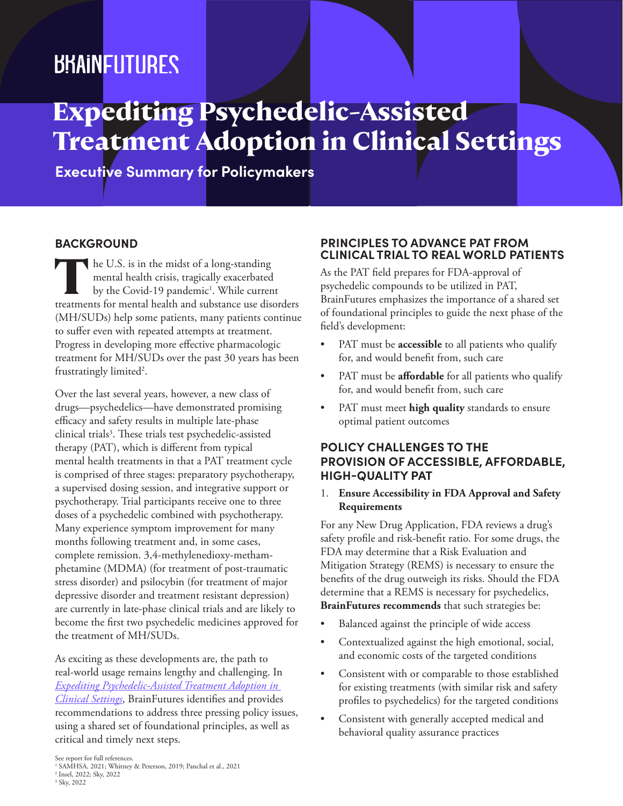## *BRAINFUTURES*

# **Expediting Psychedelic-Assisted Treatment Adoption in Clinical Settings**

**Executive Summary for Policymakers**

### **BACKGROUND**

The U.S. is in the midst of a long-standing<br>mental health crisis, tragically exacerbated<br>by the Covid-19 pandemic<sup>1</sup>. While current<br>treatments for mental health and substance use dismental health crisis, tragically exacerbated by the Covid-19 pandemic<sup>1</sup>. While current treatments for mental health and substance use disorders (MH/SUDs) help some patients, many patients continue to suffer even with repeated attempts at treatment. Progress in developing more effective pharmacologic treatment for MH/SUDs over the past 30 years has been frustratingly limited<sup>2</sup>.

Over the last several years, however, a new class of drugs—psychedelics—have demonstrated promising efficacy and safety results in multiple late-phase clinical trials3 . These trials test psychedelic-assisted therapy (PAT), which is different from typical mental health treatments in that a PAT treatment cycle is comprised of three stages: preparatory psychotherapy, a supervised dosing session, and integrative support or psychotherapy. Trial participants receive one to three doses of a psychedelic combined with psychotherapy. Many experience symptom improvement for many months following treatment and, in some cases, complete remission. 3,4-methylenedioxy-methamphetamine (MDMA) (for treatment of post-traumatic stress disorder) and psilocybin (for treatment of major depressive disorder and treatment resistant depression) are currently in late-phase clinical trials and are likely to become the first two psychedelic medicines approved for the treatment of MH/SUDs.

As exciting as these developments are, the path to real-world usage remains lengthy and challenging. In *[Expediting Psychedelic-Assisted Treatment Adoption in](https://www.brainfutures.org/mental-health-treatment/expeditingpatadoption)  [Clinical Settings](https://www.brainfutures.org/mental-health-treatment/expeditingpatadoption)*, BrainFutures identifies and provides recommendations to address three pressing policy issues, using a shared set of foundational principles, as well as critical and timely next steps.

#### **PRINCIPLES TO ADVANCE PAT FROM CLINICAL TRIAL TO REAL WORLD PATIENTS**

As the PAT field prepares for FDA-approval of psychedelic compounds to be utilized in PAT, BrainFutures emphasizes the importance of a shared set of foundational principles to guide the next phase of the field's development:

- PAT must be **accessible** to all patients who qualify for, and would benefit from, such care
- PAT must be **affordable** for all patients who qualify for, and would benefit from, such care
- PAT must meet **high quality** standards to ensure optimal patient outcomes

## **POLICY CHALLENGES TO THE PROVISION OF ACCESSIBLE, AFFORDABLE, HIGH-QUALITY PAT**

#### 1. **Ensure Accessibility in FDA Approval and Safety Requirements**

For any New Drug Application, FDA reviews a drug's safety profile and risk-benefit ratio. For some drugs, the FDA may determine that a Risk Evaluation and Mitigation Strategy (REMS) is necessary to ensure the benefits of the drug outweigh its risks. Should the FDA determine that a REMS is necessary for psychedelics, **BrainFutures recommends** that such strategies be:

- Balanced against the principle of wide access
- Contextualized against the high emotional, social, and economic costs of the targeted conditions
- Consistent with or comparable to those established for existing treatments (with similar risk and safety profiles to psychedelics) for the targeted conditions
- Consistent with generally accepted medical and behavioral quality assurance practices

3 Sky, 2022